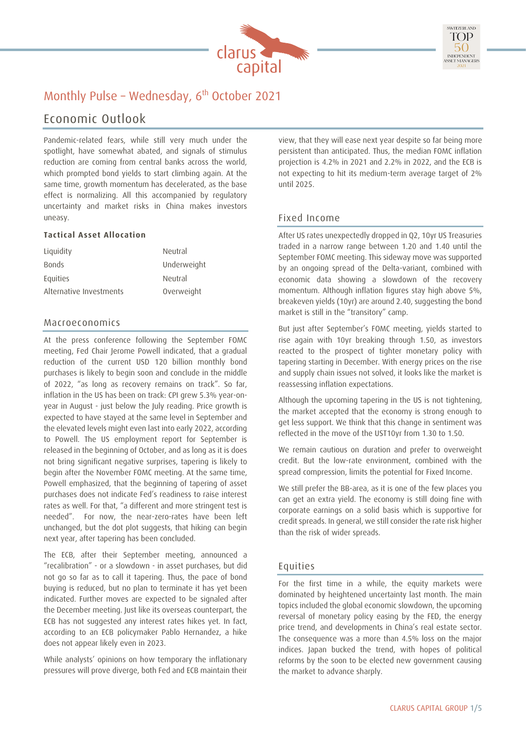



## Monthly Pulse - Wednesday, 6<sup>th</sup> October 2021

## Economic Outlook

Pandemic-related fears, while still very much under the spotlight, have somewhat abated, and signals of stimulus reduction are coming from central banks across the world, which prompted bond yields to start climbing again. At the same time, growth momentum has decelerated, as the base effect is normalizing. All this accompanied by regulatory uncertainty and market risks in China makes investors uneasy.

#### **Tactical Asset Allocation**

| Liquidity               | Neutral     |
|-------------------------|-------------|
| <b>Bonds</b>            | Underweight |
| Equities                | Neutral     |
| Alternative Investments | Overweight  |

#### Macroeconomics

At the press conference following the September FOMC meeting, Fed Chair Jerome Powell indicated, that a gradual reduction of the current USD 120 billion monthly bond purchases is likely to begin soon and conclude in the middle of 2022, "as long as recovery remains on track". So far, inflation in the US has been on track: CPI grew 5.3% year-onyear in August - just below the July reading. Price growth is expected to have stayed at the same level in September and the elevated levels might even last into early 2022, according to Powell. The US employment report for September is released in the beginning of October, and as long as it is does not bring significant negative surprises, tapering is likely to begin after the November FOMC meeting. At the same time, Powell emphasized, that the beginning of tapering of asset purchases does not indicate Fed's readiness to raise interest rates as well. For that, "a different and more stringent test is needed". For now, the near-zero-rates have been left unchanged, but the dot plot suggests, that hiking can begin next year, after tapering has been concluded.

The ECB, after their September meeting, announced a "recalibration" - or a slowdown - in asset purchases, but did not go so far as to call it tapering. Thus, the pace of bond buying is reduced, but no plan to terminate it has yet been indicated. Further moves are expected to be signaled after the December meeting. Just like its overseas counterpart, the ECB has not suggested any interest rates hikes yet. In fact, according to an ECB policymaker Pablo Hernandez, a hike does not appear likely even in 2023.

While analysts' opinions on how temporary the inflationary pressures will prove diverge, both Fed and ECB maintain their view, that they will ease next year despite so far being more persistent than anticipated. Thus, the median FOMC inflation projection is 4.2% in 2021 and 2.2% in 2022, and the ECB is not expecting to hit its medium-term average target of 2% until 2025.

### Fixed Income

After US rates unexpectedly dropped in Q2, 10yr US Treasuries traded in a narrow range between 1.20 and 1.40 until the September FOMC meeting. This sideway move was supported by an ongoing spread of the Delta-variant, combined with economic data showing a slowdown of the recovery momentum. Although inflation figures stay high above 5%, breakeven yields (10yr) are around 2.40, suggesting the bond market is still in the "transitory" camp.

But just after September's FOMC meeting, yields started to rise again with 10yr breaking through 1.50, as investors reacted to the prospect of tighter monetary policy with tapering starting in December. With energy prices on the rise and supply chain issues not solved, it looks like the market is reassessing inflation expectations.

Although the upcoming tapering in the US is not tightening, the market accepted that the economy is strong enough to get less support. We think that this change in sentiment was reflected in the move of the UST10yr from 1.30 to 1.50.

We remain cautious on duration and prefer to overweight credit. But the low-rate environment, combined with the spread compression, limits the potential for Fixed Income.

We still prefer the BB-area, as it is one of the few places you can get an extra yield. The economy is still doing fine with corporate earnings on a solid basis which is supportive for credit spreads. In general, we still consider the rate risk higher than the risk of wider spreads.

#### Equities

For the first time in a while, the equity markets were dominated by heightened uncertainty last month. The main topics included the global economic slowdown, the upcoming reversal of monetary policy easing by the FED, the energy price trend, and developments in China's real estate sector. The consequence was a more than 4.5% loss on the major indices. Japan bucked the trend, with hopes of political reforms by the soon to be elected new government causing the market to advance sharply.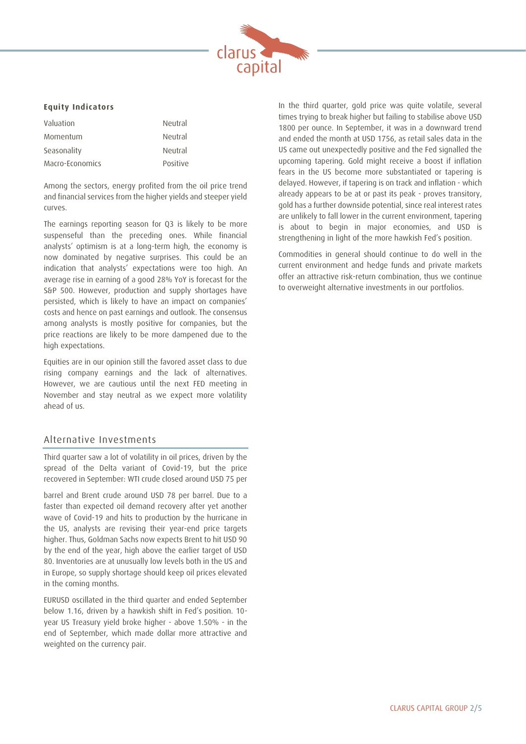

#### **Equity Indicators**

| Valuation       | Neutral  |
|-----------------|----------|
| Momentum        | Neutral  |
| Seasonality     | Neutral  |
| Macro-Economics | Positive |

Among the sectors, energy profited from the oil price trend and financial services from the higher yields and steeper yield curves.

The earnings reporting season for Q3 is likely to be more suspenseful than the preceding ones. While financial analysts' optimism is at a long-term high, the economy is now dominated by negative surprises. This could be an indication that analysts' expectations were too high. An average rise in earning of a good 28% YoY is forecast for the S&P 500. However, production and supply shortages have persisted, which is likely to have an impact on companies' costs and hence on past earnings and outlook. The consensus among analysts is mostly positive for companies, but the price reactions are likely to be more dampened due to the high expectations.

Equities are in our opinion still the favored asset class to due rising company earnings and the lack of alternatives. However, we are cautious until the next FED meeting in November and stay neutral as we expect more volatility ahead of us.

#### Alternative Investments

Third quarter saw a lot of volatility in oil prices, driven by the spread of the Delta variant of Covid-19, but the price recovered in September: WTI crude closed around USD 75 per

barrel and Brent crude around USD 78 per barrel. Due to a faster than expected oil demand recovery after yet another wave of Covid-19 and hits to production by the hurricane in the US, analysts are revising their year-end price targets higher. Thus, Goldman Sachs now expects Brent to hit USD 90 by the end of the year, high above the earlier target of USD 80. Inventories are at unusually low levels both in the US and in Europe, so supply shortage should keep oil prices elevated in the coming months.

EURUSD oscillated in the third quarter and ended September below 1.16, driven by a hawkish shift in Fed's position. 10 year US Treasury yield broke higher - above 1.50% - in the end of September, which made dollar more attractive and weighted on the currency pair.

In the third quarter, gold price was quite volatile, several times trying to break higher but failing to stabilise above USD 1800 per ounce. In September, it was in a downward trend and ended the month at USD 1756, as retail sales data in the US came out unexpectedly positive and the Fed signalled the upcoming tapering. Gold might receive a boost if inflation fears in the US become more substantiated or tapering is delayed. However, if tapering is on track and inflation - which already appears to be at or past its peak - proves transitory, gold has a further downside potential, since real interest rates are unlikely to fall lower in the current environment, tapering is about to begin in major economies, and USD is strengthening in light of the more hawkish Fed's position.

Commodities in general should continue to do well in the current environment and hedge funds and private markets offer an attractive risk-return combination, thus we continue to overweight alternative investments in our portfolios.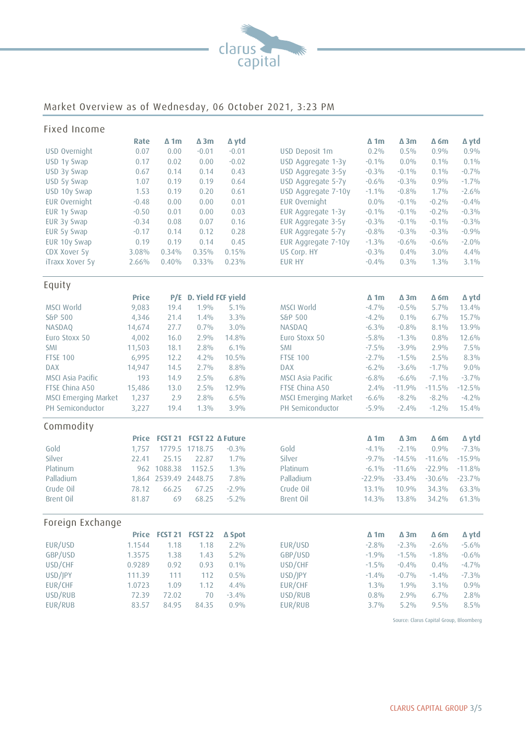

# Market Overview as of Wednesday, 06 October 2021, 3:23 PM

| Fixed Income             |              |                 |                |                    |                      |             |             |             |          |
|--------------------------|--------------|-----------------|----------------|--------------------|----------------------|-------------|-------------|-------------|----------|
|                          | Rate         | $\Delta$ 1m     | $\Delta$ 3m    | ∆ ytd              |                      | $\Delta$ 1m | $\Delta$ 3m | $\Delta$ 6m | ∆ ytd    |
| USD Overnight            | 0.07         | 0.00            | $-0.01$        | $-0.01$            | USD Deposit 1m       | 0.2%        | 0.5%        | 0.9%        | 0.9%     |
| USD 1y Swap              | 0.17         | 0.02            | 0.00           | $-0.02$            | USD Aggregate 1-3y   | $-0.1%$     | $0.0\%$     | 0.1%        | 0.1%     |
| USD 3y Swap              | 0.67         | 0.14            | 0.14           | 0.43               | USD Aggregate 3-5y   | $-0.3\%$    | $-0.1%$     | 0.1%        | $-0.7%$  |
| USD 5y Swap              | 1.07         | 0.19            | 0.19           | 0.64               | USD Aggregate 5-7y   | $-0.6%$     | $-0.3%$     | 0.9%        | $-1.7%$  |
| USD 10y Swap             | 1.53         | 0.19            | 0.20           | 0.61               | USD Aggregate 7-10y  | $-1.1%$     | $-0.8%$     | 1.7%        | $-2.6%$  |
| EUR Overnight            | $-0.48$      | 0.00            | 0.00           | 0.01               | EUR Overnight        | $0.0\%$     | $-0.1%$     | $-0.2%$     | $-0.4%$  |
| EUR 1y Swap              | $-0.50$      | 0.01            | 0.00           | 0.03               | EUR Aggregate 1-3y   | $-0.1%$     | $-0.1%$     | $-0.2%$     | $-0.3%$  |
| EUR 3y Swap              | $-0.34$      | 0.08            | 0.07           | 0.16               | EUR Aggregate 3-5y   | $-0.3\%$    | $-0.1%$     | $-0.1%$     | $-0.3%$  |
| EUR 5y Swap              | $-0.17$      | 0.14            | 0.12           | 0.28               | EUR Aggregate 5-7y   | $-0.8%$     | $-0.3%$     | $-0.3%$     | $-0.9%$  |
| EUR 10y Swap             | 0.19         | 0.19            | 0.14           | 0.45               | EUR Aggregate 7-10y  | $-1.3%$     | $-0.6%$     | $-0.6%$     | $-2.0%$  |
| CDX Xover 5y             | 3.08%        | 0.34%           | 0.35%          | 0.15%              | US Corp. HY          | $-0.3%$     | 0.4%        | $3.0\%$     | 4.4%     |
| iTraxx Xover 5y          | 2.66%        | 0.40%           | $0.33\%$       | 0.23%              | <b>EUR HY</b>        | $-0.4%$     | 0.3%        | $1.3\%$     | 3.1%     |
| Equity                   |              |                 |                |                    |                      |             |             |             |          |
|                          | <b>Price</b> | P/E             |                | D. Yield FCF yield |                      | $\Delta$ 1m | $\Delta$ 3m | $\Delta$ 6m | ∆ ytd    |
| MSCI World               | 9,083        | 19.4            | 1.9%           | 5.1%               | <b>MSCI World</b>    | $-4.7%$     | $-0.5%$     | 5.7%        | 13.4%    |
| S&P 500                  | 4,346        | 21.4            | 1.4%           | $3.3\%$            | S&P 500              | $-4.2%$     | 0.1%        | 6.7%        | 15.7%    |
| NASDAQ                   | 14,674       | 27.7            | 0.7%           | 3.0%               | NASDAQ               | $-6.3\%$    | $-0.8%$     | 8.1%        | 13.9%    |
| Euro Stoxx 50            | 4,002        | 16.0            | 2.9%           | 14.8%              | Euro Stoxx 50        | $-5.8%$     | $-1.3%$     | 0.8%        | 12.6%    |
| <b>SMI</b>               | 11,503       | 18.1            | 2.8%           | 6.1%               | <b>SMI</b>           | $-7.5\%$    | $-3.9%$     | 2.9%        | $7.5\%$  |
| <b>FTSE 100</b>          | 6,995        | 12.2            | $4.2\%$        | 10.5%              | <b>FTSE 100</b>      | $-2.7%$     | $-1.5%$     | 2.5%        | $8.3\%$  |
| <b>DAX</b>               | 14,947       | 14.5            | 2.7%           | 8.8%               | <b>DAX</b>           | $-6.2\%$    | $-3.6%$     | $-1.7%$     | 9.0%     |
| <b>MSCI Asia Pacific</b> | 193          | 14.9            | $2.5\%$        | 6.8%               | MSCI Asia Pacific    | $-6.8%$     | $-6.6%$     | $-7.1%$     | $-3.7%$  |
| FTSE China A50           | 15,486       | 13.0            | $2.5\%$        | 12.9%              | FTSE China A50       | 2.4%        | $-11.9%$    | $-11.5%$    | $-12.5%$ |
| MSCI Emerging Market     | 1,237        | 2.9             | 2.8%           | 6.5%               | MSCI Emerging Market | $-6.6%$     | $-8.2%$     | $-8.2%$     | $-4.2%$  |
| PH Semiconductor         | 3,227        | 19.4            | $1.3\%$        | 3.9%               | PH Semiconductor     | $-5.9%$     | $-2.4%$     | $-1.2%$     | 15.4%    |
| Commodity                |              |                 |                |                    |                      |             |             |             |          |
|                          | <b>Price</b> | <b>FCST 21</b>  |                | FCST 22 ∆ Future   |                      | $\Delta$ 1m | $\Delta$ 3m | $\Delta$ 6m | ∆ ytd    |
| Gold                     | 1,757        | 1779.5          | 1718.75        | $-0.3%$            | Gold                 | $-4.1%$     | $-2.1%$     | 0.9%        | $-7.3\%$ |
| Silver                   | 22.41        | 25.15           | 22.87          | 1.7%               | Silver               | $-9.7%$     | $-14.5%$    | $-11.6%$    | $-15.9%$ |
| Platinum                 | 962          | 1088.38         | 1152.5         | 1.3%               | Platinum             | $-6.1\%$    | $-11.6%$    | $-22.9%$    | $-11.8%$ |
| Palladium                | 1,864        | 2539.49 2448.75 |                | 7.8%               | Palladium            | $-22.9%$    | $-33.4%$    | $-30.6%$    | $-23.7%$ |
| Crude Oil                | 78.12        | 66.25           | 67.25          | $-2.9%$            | Crude Oil            | 13.1%       | 10.9%       | 34.3%       | 63.3%    |
| Brent Oil                | 81.87        | 69              | 68.25          | $-5.2\%$           | Brent Oil            | 14.3%       | 13.8%       | 34.2%       | 61.3%    |
| Foreign Exchange         |              |                 |                |                    |                      |             |             |             |          |
|                          | Price        | <b>FCST 21</b>  | <b>FCST 22</b> | ∆ Spot             |                      | $\Delta$ 1m | $\Delta$ 3m | $\Delta$ 6m | ∆ ytd    |
| EUR/USD                  | 1.1544       | 1.18            | 1.18           | $2.2\%$            | EUR/USD              | $-2.8%$     | $-2.3%$     | $-2.6%$     | $-5.6\%$ |
| GBP/USD                  | 1.3575       | 1.38            | 1.43           | $5.2\%$            | GBP/USD              | $-1.9%$     | $-1.5%$     | $-1.8%$     | $-0.6%$  |
| USD/CHF                  | 0.9289       | 0.92            | 0.93           | 0.1%               | USD/CHF              | $-1.5\%$    | $-0.4%$     | 0.4%        | $-4.7\%$ |
| USD/JPY                  | 111.39       | 111             | 112            | 0.5%               | USD/JPY              | $-1.4%$     | $-0.7%$     | $-1.4%$     | $-7.3\%$ |
| EUR/CHF                  | 1.0723       | 1.09            | 1.12           | 4.4%               | EUR/CHF              | $1.3\%$     | 1.9%        | 3.1%        | 0.9%     |
| USD/RUB                  | 72.39        | 72.02           | 70             | $-3.4%$            | USD/RUB              | 0.8%        | 2.9%        | 6.7%        | 2.8%     |
| EUR/RUB                  | 83.57        | 84.95           | 84.35          | 0.9%               | EUR/RUB              | 3.7%        | $5.2\%$     | $9.5\%$     | $8.5\%$  |

Source: Clarus Capital Group, Bloomberg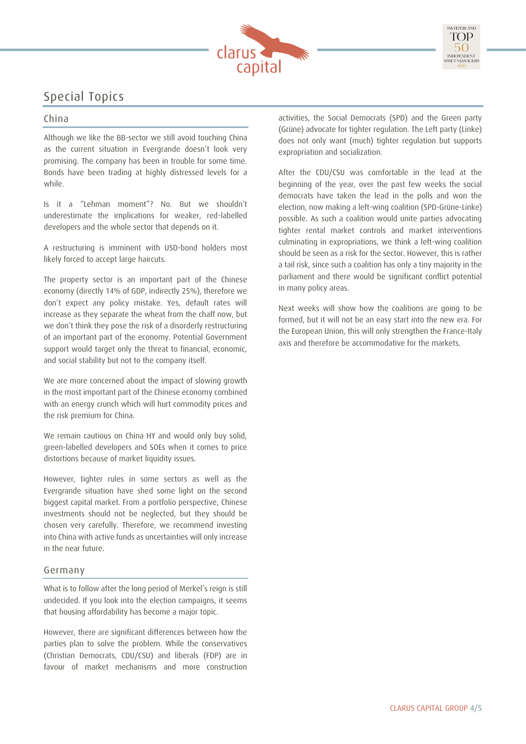

# Special Topics

### China

Although we like the BB-sector we still avoid touching China as the current situation in Evergrande doesn't look very promising. The company has been in trouble for some time. Bonds have been trading at highly distressed levels for a while.

Is it a "Lehman moment"? No. But we shouldn't underestimate the implications for weaker, red-labelled developers and the whole sector that depends on it.

A restructuring is imminent with USD-bond holders most likely forced to accept large haircuts.

The property sector is an important part of the Chinese economy (directly 14% of GDP, indirectly 25%), therefore we don't expect any policy mistake. Yes, default rates will increase as they separate the wheat from the chaff now, but we don't think they pose the risk of a disorderly restructuring of an important part of the economy. Potential Government support would target only the threat to financial, economic, and social stability but not to the company itself.

We are more concerned about the impact of slowing growth in the most important part of the Chinese economy combined with an energy crunch which will hurt commodity prices and the risk premium for China.

We remain cautious on China HY and would only buy solid, green-labelled developers and SOEs when it comes to price distortions because of market liquidity issues.

However, tighter rules in some sectors as well as the Evergrande situation have shed some light on the second biggest capital market. From a portfolio perspective, Chinese investments should not be neglected, but they should be chosen very carefully. Therefore, we recommend investing into China with active funds as uncertainties will only increase in the near future.

#### Germany

What is to follow after the long period of Merkel's reign is still undecided. If you look into the election campaigns, it seems that housing affordability has become a major topic.

However, there are significant differences between how the parties plan to solve the problem. While the conservatives (Christian Democrats, CDU/CSU) and liberals (FDP) are in favour of market mechanisms and more construction activities, the Social Democrats (SPD) and the Green party (Grüne) advocate for tighter regulation. The Left party (Linke) does not only want (much) tighter regulation but supports expropriation and socialization.

After the CDU/CSU was comfortable in the lead at the beginning of the year, over the past few weeks the social democrats have taken the lead in the polls and won the election, now making a left-wing coalition (SPD-Grüne-Linke) possible. As such a coalition would unite parties advocating tighter rental market controls and market interventions culminating in expropriations, we think a left-wing coalition should be seen as a risk for the sector. However, this is rather a tail risk, since such a coalition has only a tiny majority in the parliament and there would be significant conflict potential in many policy areas.

Next weeks will show how the coalitions are going to be formed, but it will not be an easy start into the new era. For the European Union, this will only strengthen the France-Italy axis and therefore be accommodative for the markets.